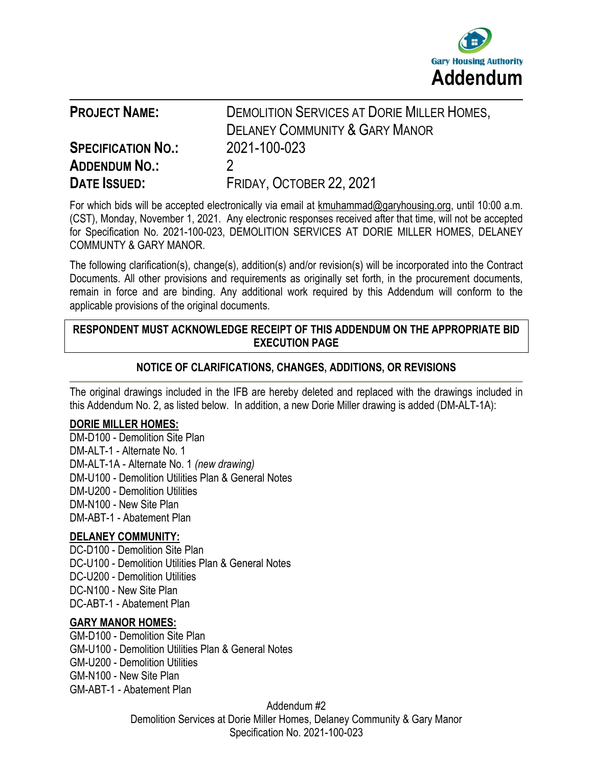

| <b>PROJECT NAME:</b>                                                     | <b>DEMOLITION SERVICES AT DORIE MILLER HOMES,</b><br><b>DELANEY COMMUNITY &amp; GARY MANOR</b> |
|--------------------------------------------------------------------------|------------------------------------------------------------------------------------------------|
| <b>SPECIFICATION NO.:</b><br><b>ADDENDUM NO.:</b><br><b>DATE ISSUED:</b> | 2021-100-023<br>FRIDAY, OCTOBER 22, 2021                                                       |

For which bids will be accepted electronically via email at [kmuhammad@garyhousing.org,](mailto:kmuhammad@garyhousing.org) until 10:00 a.m. (CST), Monday, November 1, 2021. Any electronic responses received after that time, will not be accepted for Specification No. 2021-100-023, DEMOLITION SERVICES AT DORIE MILLER HOMES, DELANEY COMMUNTY & GARY MANOR.

The following clarification(s), change(s), addition(s) and/or revision(s) will be incorporated into the Contract Documents. All other provisions and requirements as originally set forth, in the procurement documents, remain in force and are binding. Any additional work required by this Addendum will conform to the applicable provisions of the original documents.

### **RESPONDENT MUST ACKNOWLEDGE RECEIPT OF THIS ADDENDUM ON THE APPROPRIATE BID EXECUTION PAGE**

## **NOTICE OF CLARIFICATIONS, CHANGES, ADDITIONS, OR REVISIONS**

The original drawings included in the IFB are hereby deleted and replaced with the drawings included in this Addendum No. 2, as listed below. In addition, a new Dorie Miller drawing is added (DM-ALT-1A):

#### **DORIE MILLER HOMES:**

DM-D100 - Demolition Site Plan DM-ALT-1 - Alternate No. 1 DM-ALT-1A - Alternate No. 1 *(new drawing)* DM-U100 - Demolition Utilities Plan & General Notes DM-U200 - Demolition Utilities DM-N100 - New Site Plan DM-ABT-1 - Abatement Plan

### **DELANEY COMMUNITY:**

DC-D100 - Demolition Site Plan DC-U100 - Demolition Utilities Plan & General Notes DC-U200 - Demolition Utilities DC-N100 - New Site Plan DC-ABT-1 - Abatement Plan

#### **GARY MANOR HOMES:**

GM-D100 - Demolition Site Plan GM-U100 - Demolition Utilities Plan & General Notes GM-U200 - Demolition Utilities GM-N100 - New Site Plan GM-ABT-1 - Abatement Plan

> Addendum #2 Demolition Services at Dorie Miller Homes, Delaney Community & Gary Manor Specification No. 2021-100-023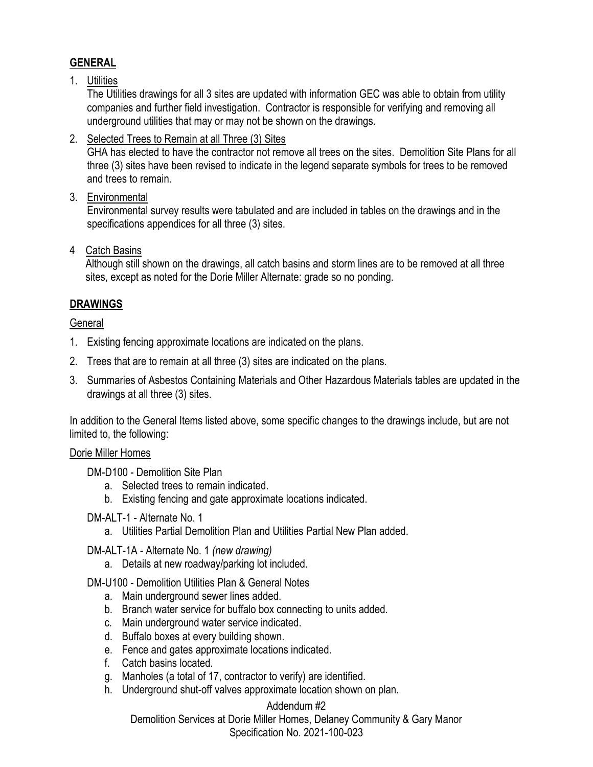## **GENERAL**

### 1. Utilities

The Utilities drawings for all 3 sites are updated with information GEC was able to obtain from utility companies and further field investigation. Contractor is responsible for verifying and removing all underground utilities that may or may not be shown on the drawings.

2. Selected Trees to Remain at all Three (3) Sites

GHA has elected to have the contractor not remove all trees on the sites. Demolition Site Plans for all three (3) sites have been revised to indicate in the legend separate symbols for trees to be removed and trees to remain.

3. Environmental

Environmental survey results were tabulated and are included in tables on the drawings and in the specifications appendices for all three (3) sites.

4 Catch Basins

 Although still shown on the drawings, all catch basins and storm lines are to be removed at all three sites, except as noted for the Dorie Miller Alternate: grade so no ponding.

## **DRAWINGS**

### **General**

- 1. Existing fencing approximate locations are indicated on the plans.
- 2. Trees that are to remain at all three (3) sites are indicated on the plans.
- 3. Summaries of Asbestos Containing Materials and Other Hazardous Materials tables are updated in the drawings at all three (3) sites.

In addition to the General Items listed above, some specific changes to the drawings include, but are not limited to, the following:

### Dorie Miller Homes

DM-D100 - Demolition Site Plan

- a. Selected trees to remain indicated.
- b. Existing fencing and gate approximate locations indicated.

### DM-ALT-1 - Alternate No. 1

a. Utilities Partial Demolition Plan and Utilities Partial New Plan added.

DM-ALT-1A - Alternate No. 1 *(new drawing)*

a. Details at new roadway/parking lot included.

DM-U100 - Demolition Utilities Plan & General Notes

- a. Main underground sewer lines added.
- b. Branch water service for buffalo box connecting to units added.
- c. Main underground water service indicated.
- d. Buffalo boxes at every building shown.
- e. Fence and gates approximate locations indicated.
- f. Catch basins located.
- g. Manholes (a total of 17, contractor to verify) are identified.
- h. Underground shut-off valves approximate location shown on plan.

## Addendum #2

Demolition Services at Dorie Miller Homes, Delaney Community & Gary Manor Specification No. 2021-100-023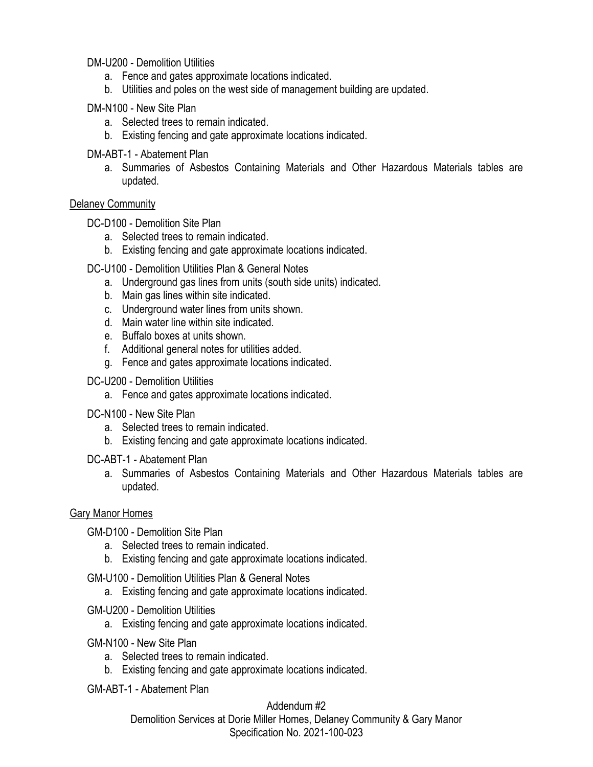DM-U200 - Demolition Utilities

- a. Fence and gates approximate locations indicated.
- b. Utilities and poles on the west side of management building are updated.

DM-N100 - New Site Plan

- a. Selected trees to remain indicated.
- b. Existing fencing and gate approximate locations indicated.

DM-ABT-1 - Abatement Plan

a. Summaries of Asbestos Containing Materials and Other Hazardous Materials tables are updated.

#### Delaney Community

DC-D100 - Demolition Site Plan

- a. Selected trees to remain indicated.
- b. Existing fencing and gate approximate locations indicated.

DC-U100 - Demolition Utilities Plan & General Notes

- a. Underground gas lines from units (south side units) indicated.
- b. Main gas lines within site indicated.
- c. Underground water lines from units shown.
- d. Main water line within site indicated.
- e. Buffalo boxes at units shown.
- f. Additional general notes for utilities added.
- g. Fence and gates approximate locations indicated.
- DC-U200 Demolition Utilities
	- a. Fence and gates approximate locations indicated.
- DC-N100 New Site Plan
	- a. Selected trees to remain indicated.
	- b. Existing fencing and gate approximate locations indicated.

DC-ABT-1 - Abatement Plan

a. Summaries of Asbestos Containing Materials and Other Hazardous Materials tables are updated.

#### Gary Manor Homes

GM-D100 - Demolition Site Plan

- a. Selected trees to remain indicated.
- b. Existing fencing and gate approximate locations indicated.
- GM-U100 Demolition Utilities Plan & General Notes
	- a. Existing fencing and gate approximate locations indicated.
- GM-U200 Demolition Utilities
	- a. Existing fencing and gate approximate locations indicated.
- GM-N100 New Site Plan
	- a. Selected trees to remain indicated.
	- b. Existing fencing and gate approximate locations indicated.
- GM-ABT-1 Abatement Plan

Addendum #2 Demolition Services at Dorie Miller Homes, Delaney Community & Gary Manor Specification No. 2021-100-023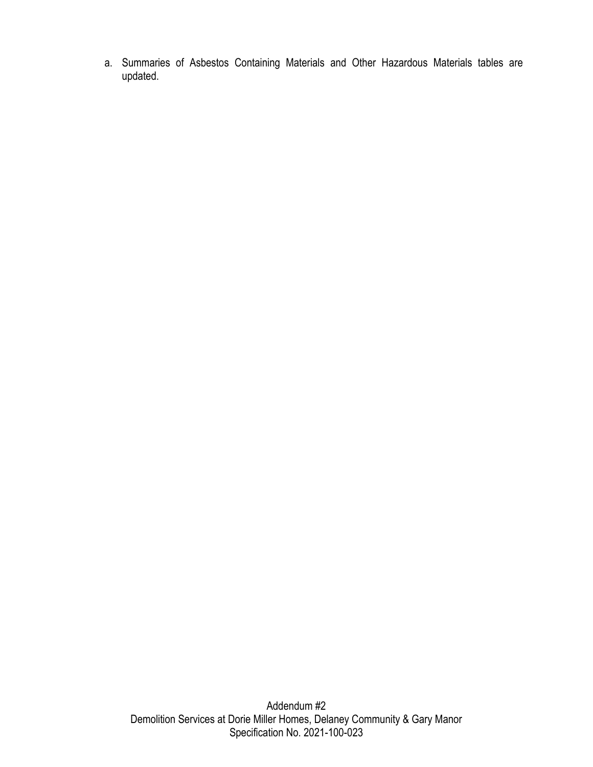a. Summaries of Asbestos Containing Materials and Other Hazardous Materials tables are updated.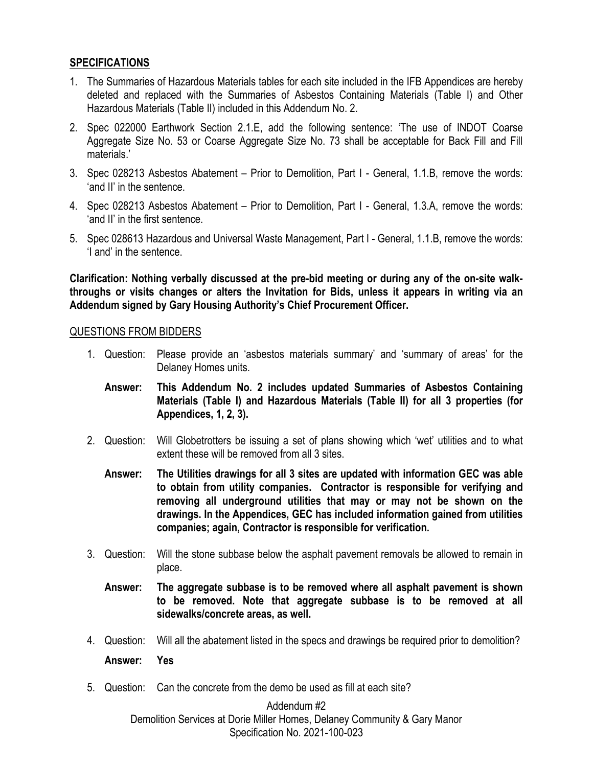### **SPECIFICATIONS**

- 1. The Summaries of Hazardous Materials tables for each site included in the IFB Appendices are hereby deleted and replaced with the Summaries of Asbestos Containing Materials (Table I) and Other Hazardous Materials (Table II) included in this Addendum No. 2.
- 2. Spec 022000 Earthwork Section 2.1.E, add the following sentence: 'The use of INDOT Coarse Aggregate Size No. 53 or Coarse Aggregate Size No. 73 shall be acceptable for Back Fill and Fill materials.'
- 3. Spec 028213 Asbestos Abatement Prior to Demolition, Part I General, 1.1.B, remove the words: 'and II' in the sentence.
- 4. Spec 028213 Asbestos Abatement Prior to Demolition, Part I General, 1.3.A, remove the words: 'and II' in the first sentence.
- 5. Spec 028613 Hazardous and Universal Waste Management, Part I General, 1.1.B, remove the words: 'I and' in the sentence.

**Clarification: Nothing verbally discussed at the pre-bid meeting or during any of the on-site walkthroughs or visits changes or alters the Invitation for Bids, unless it appears in writing via an Addendum signed by Gary Housing Authority's Chief Procurement Officer.**

#### QUESTIONS FROM BIDDERS

- 1. Question: Please provide an 'asbestos materials summary' and 'summary of areas' for the Delaney Homes units.
	- **Answer: This Addendum No. 2 includes updated Summaries of Asbestos Containing Materials (Table I) and Hazardous Materials (Table II) for all 3 properties (for Appendices, 1, 2, 3).**
- 2. Question: Will Globetrotters be issuing a set of plans showing which 'wet' utilities and to what extent these will be removed from all 3 sites.
	- **Answer: The Utilities drawings for all 3 sites are updated with information GEC was able to obtain from utility companies. Contractor is responsible for verifying and removing all underground utilities that may or may not be shown on the drawings. In the Appendices, GEC has included information gained from utilities companies; again, Contractor is responsible for verification.**
- 3. Question: Will the stone subbase below the asphalt pavement removals be allowed to remain in place.
	- **Answer: The aggregate subbase is to be removed where all asphalt pavement is shown to be removed. Note that aggregate subbase is to be removed at all sidewalks/concrete areas, as well.**
- 4. Question: Will all the abatement listed in the specs and drawings be required prior to demolition? **Answer: Yes**
- 5. Question: Can the concrete from the demo be used as fill at each site?

#### Addendum #2 Demolition Services at Dorie Miller Homes, Delaney Community & Gary Manor Specification No. 2021-100-023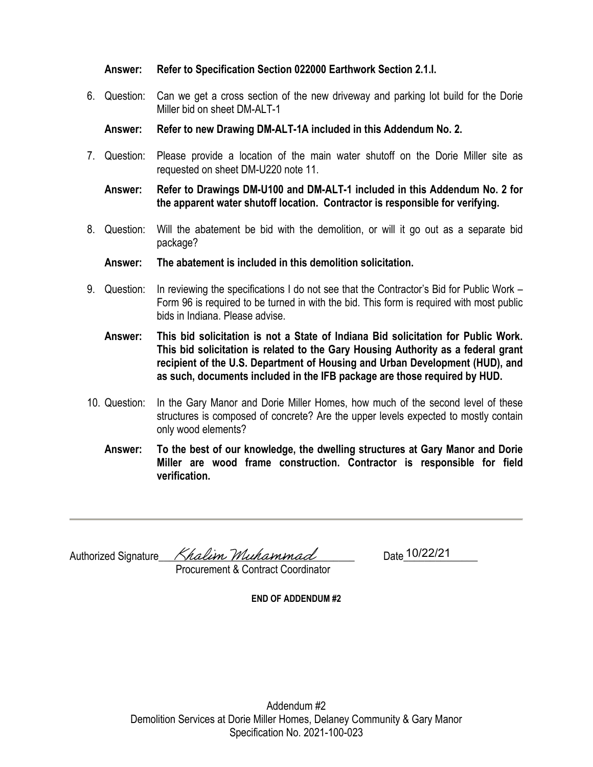#### **Answer: Refer to Specification Section 022000 Earthwork Section 2.1.I.**

6. Question: Can we get a cross section of the new driveway and parking lot build for the Dorie Miller bid on sheet DM-ALT-1

**Answer: Refer to new Drawing DM-ALT-1A included in this Addendum No. 2.**

7. Question: Please provide a location of the main water shutoff on the Dorie Miller site as requested on sheet DM-U220 note 11.

**Answer: Refer to Drawings DM-U100 and DM-ALT-1 included in this Addendum No. 2 for the apparent water shutoff location. Contractor is responsible for verifying.**

- 8. Question: Will the abatement be bid with the demolition, or will it go out as a separate bid package?
	- **Answer: The abatement is included in this demolition solicitation.**
- 9. Question: In reviewing the specifications I do not see that the Contractor's Bid for Public Work Form 96 is required to be turned in with the bid. This form is required with most public bids in Indiana. Please advise.
	- **Answer: This bid solicitation is not a State of Indiana Bid solicitation for Public Work. This bid solicitation is related to the Gary Housing Authority as a federal grant recipient of the U.S. Department of Housing and Urban Development (HUD), and as such, documents included in the IFB package are those required by HUD.**
- 10. Question: In the Gary Manor and Dorie Miller Homes, how much of the second level of these structures is composed of concrete? Are the upper levels expected to mostly contain only wood elements?
	- **Answer: To the best of our knowledge, the dwelling structures at Gary Manor and Dorie Miller are wood frame construction. Contractor is responsible for field verification.**

Authorized Signature\_\_\_\_\_\_\_\_\_\_\_\_\_\_\_\_\_\_\_\_\_\_\_\_\_\_\_\_\_\_\_\_\_\_\_\_\_ Date\_\_\_\_\_\_\_\_\_\_\_\_\_\_

Date 10/22/21

Procurement & Contract Coordinator

**END OF ADDENDUM #2**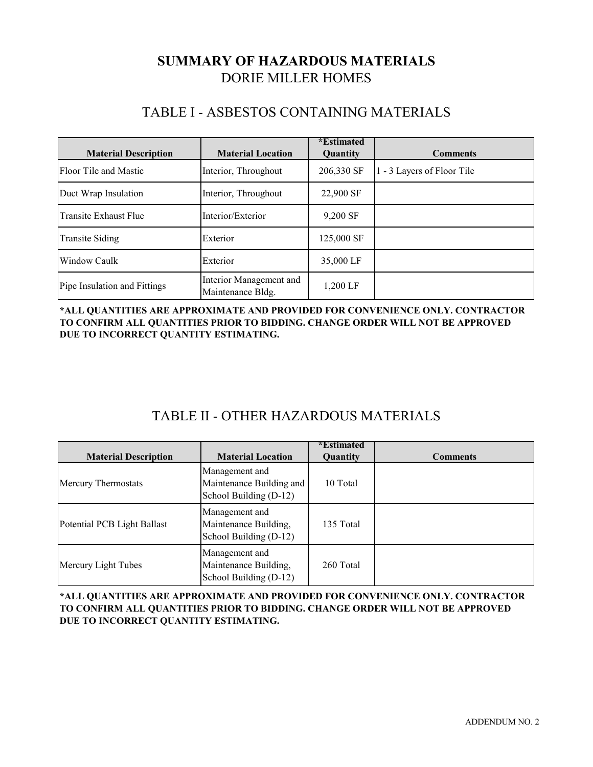# DORIE MILLER HOMES **SUMMARY OF HAZARDOUS MATERIALS**

## TABLE I - ASBESTOS CONTAINING MATERIALS

| <b>Material Description</b>  | <b>Material Location</b>                     | <i>*Estimated</i><br><b>Quantity</b> | <b>Comments</b>            |
|------------------------------|----------------------------------------------|--------------------------------------|----------------------------|
| Floor Tile and Mastic        | Interior, Throughout                         | 206,330 SF                           | 1 - 3 Layers of Floor Tile |
| Duct Wrap Insulation         | Interior, Throughout                         | 22,900 SF                            |                            |
| Transite Exhaust Flue        | Interior/Exterior                            | 9,200 SF                             |                            |
| <b>Transite Siding</b>       | Exterior                                     | 125,000 SF                           |                            |
| Window Caulk                 | Exterior                                     | 35,000 LF                            |                            |
| Pipe Insulation and Fittings | Interior Management and<br>Maintenance Bldg. | 1,200 LF                             |                            |

**\*ALL QUANTITIES ARE APPROXIMATE AND PROVIDED FOR CONVENIENCE ONLY. CONTRACTOR TO CONFIRM ALL QUANTITIES PRIOR TO BIDDING. CHANGE ORDER WILL NOT BE APPROVED DUE TO INCORRECT QUANTITY ESTIMATING.** 

# TABLE II - OTHER HAZARDOUS MATERIALS

| <b>Material Description</b> | <b>Material Location</b>                                             | <i>*</i> Estimated<br>Quantity | <b>Comments</b> |
|-----------------------------|----------------------------------------------------------------------|--------------------------------|-----------------|
| Mercury Thermostats         | Management and<br>Maintenance Building and<br>School Building (D-12) | 10 Total                       |                 |
| Potential PCB Light Ballast | Management and<br>Maintenance Building,<br>School Building (D-12)    | 135 Total                      |                 |
| Mercury Light Tubes         | Management and<br>Maintenance Building,<br>School Building (D-12)    | 260 Total                      |                 |

**\*ALL QUANTITIES ARE APPROXIMATE AND PROVIDED FOR CONVENIENCE ONLY. CONTRACTOR TO CONFIRM ALL QUANTITIES PRIOR TO BIDDING. CHANGE ORDER WILL NOT BE APPROVED DUE TO INCORRECT QUANTITY ESTIMATING.**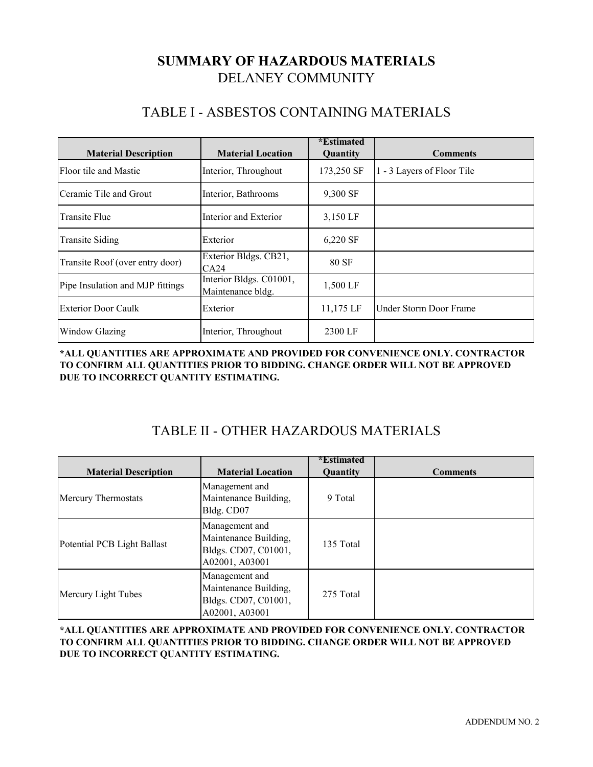# **SUMMARY OF HAZARDOUS MATERIALS** DELANEY COMMUNITY

# TABLE I - ASBESTOS CONTAINING MATERIALS

| <b>Material Description</b>      | <b>Material Location</b>                     | <i>*</i> Estimated<br>Quantity | <b>Comments</b>            |
|----------------------------------|----------------------------------------------|--------------------------------|----------------------------|
| Floor tile and Mastic            | Interior, Throughout                         | 173,250 SF                     | 1 - 3 Layers of Floor Tile |
| Ceramic Tile and Grout           | Interior, Bathrooms                          | 9,300 SF                       |                            |
| <b>Transite Flue</b>             | Interior and Exterior                        | 3,150 LF                       |                            |
| <b>Transite Siding</b>           | Exterior                                     | 6,220 SF                       |                            |
| Transite Roof (over entry door)  | Exterior Bldgs. CB21,<br>CA24                | 80 SF                          |                            |
| Pipe Insulation and MJP fittings | Interior Bldgs. C01001,<br>Maintenance bldg. | 1,500 LF                       |                            |
| <b>Exterior Door Caulk</b>       | Exterior                                     | 11,175 LF                      | Under Storm Door Frame     |
| <b>Window Glazing</b>            | Interior, Throughout                         | 2300 LF                        |                            |

**\*ALL QUANTITIES ARE APPROXIMATE AND PROVIDED FOR CONVENIENCE ONLY. CONTRACTOR TO CONFIRM ALL QUANTITIES PRIOR TO BIDDING. CHANGE ORDER WILL NOT BE APPROVED DUE TO INCORRECT QUANTITY ESTIMATING.** 

# TABLE II - OTHER HAZARDOUS MATERIALS

| <b>Material Description</b> | <b>Material Location</b>                                                          | <i>*</i> Estimated<br>Quantity | <b>Comments</b> |
|-----------------------------|-----------------------------------------------------------------------------------|--------------------------------|-----------------|
| Mercury Thermostats         | Management and<br>Maintenance Building,<br>Bldg. CD07                             | 9 Total                        |                 |
| Potential PCB Light Ballast | Management and<br>Maintenance Building,<br>Bldgs. CD07, C01001,<br>A02001, A03001 | 135 Total                      |                 |
| Mercury Light Tubes         | Management and<br>Maintenance Building,<br>Bldgs. CD07, C01001,<br>A02001, A03001 | 275 Total                      |                 |

**\*ALL QUANTITIES ARE APPROXIMATE AND PROVIDED FOR CONVENIENCE ONLY. CONTRACTOR TO CONFIRM ALL QUANTITIES PRIOR TO BIDDING. CHANGE ORDER WILL NOT BE APPROVED DUE TO INCORRECT QUANTITY ESTIMATING.**